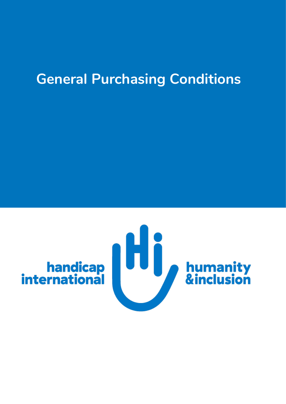# **General Purchasing Conditions**

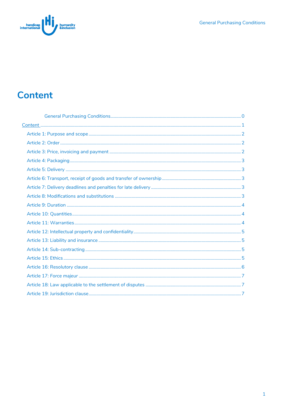<span id="page-1-0"></span>

## **Content**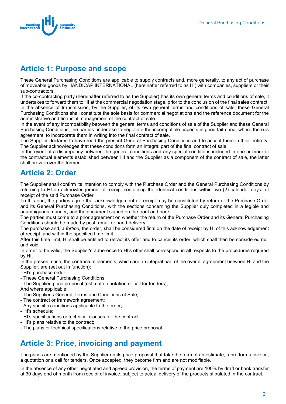

#### <span id="page-2-0"></span>**Article 1: Purpose and scope**

These General Purchasing Conditions are applicable to supply contracts and, more generally, to any act of purchase of moveable goods by HANDICAP INTERNATIONAL (hereinafter referred to as HI) with companies, suppliers or their sub-contractors.

If the co-contracting party (hereinafter referred to as the Supplier) has its own general terms and conditions of sale, it undertakes to forward them to HI at the commercial negotiation stage, prior to the conclusion of the final sales contract. In the absence of transmission, by the Supplier, of its own general terms and conditions of sale, these General Purchasing Conditions shall constitute the sole basis for commercial negotiations and the reference document for the administrative and financial management of the contract of sale.

In the event of any incompatibility between the general terms and conditions of sale of the Supplier and these General Purchasing Conditions, the parties undertake to negotiate the incompatible aspects in good faith and, where there is agreement, to incorporate them in writing into the final contract of sale.

The Supplier declares to have read the present General Purchasing Conditions and to accept them in their entirety. The Supplier acknowledges that these conditions form an integral part of the final contract of sale.

In the event of a discrepancy between the general conditions and any special conditions included in one or more of the contractual elements established between HI and the Supplier as a component of the contract of sale, the latter shall prevail over the former.

#### <span id="page-2-1"></span>**Article 2: Order**

The Supplier shall confirm its intention to comply with the Purchase Order and the General Purchasing Conditions by returning to HI an acknowledgement of receipt containing the identical conditions within two (2) calendar days of receipt of the said Purchase Order.

To this end, the parties agree that acknowledgement of receipt may be constituted by return of the Purchase Order and its General Purchasing Conditions, with the sections concerning the Supplier duly completed in a legible and unambiguous manner, and the document signed on the front and back.

The parties must come to a prior agreement on whether the return of the Purchase Order and its General Purchasing Conditions should be made by post, email or hand-delivery.

The purchase and, *a fortiori,* the order, shall be considered final on the date of receipt by HI of this acknowledgement of receipt, and within the specified time limit.

After this time limit, HI shall be entitled to retract its offer and to cancel its order, which shall then be considered null and void.

In order to be valid, the Supplier's adherence to HI's offer shall correspond in all respects to the procedures required by HI.

In the present case, the contractual elements, which are an integral part of the overall agreement between HI and the Supplier, are (set out in function):

- HI's purchase order:
- These General Purchasing Conditions;
- The Supplier' price proposal (estimate, quotation or call for tenders);

And where applicable:

- The Supplier's General Terms and Conditions of Sale;
- The contract or framework agreement;
- Any specific conditions applicable to the order;
- HI's schedule;
- HI's specifications or technical clauses for the contract;
- HI's plans relative to the contract;
- The plans or technical specifications relative to the price proposal.

#### <span id="page-2-2"></span>**Article 3: Price, invoicing and payment**

The prices are mentioned by the Supplier on its price proposal that take the form of an estimate, a pro forma invoice, a quotation or a call for tenders. Once accepted, they become firm and are not modifiable.

In the absence of any other negotiated and agreed provision, the terms of payment are 100% by draft or bank transfer at 30 days end of month from receipt of invoice, subject to actual delivery of the products stipulated in the contract.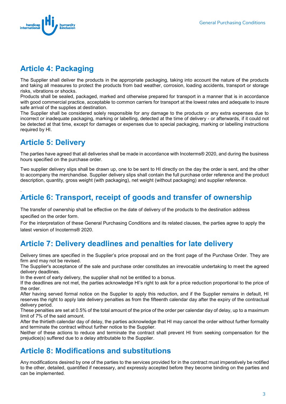

### <span id="page-3-0"></span>**Article 4: Packaging**

The Supplier shall deliver the products in the appropriate packaging, taking into account the nature of the products and taking all measures to protect the products from bad weather, corrosion, loading accidents, transport or storage risks, vibrations or shocks.

Products shall be sealed, packaged, marked and otherwise prepared for transport in a manner that is in accordance with good commercial practice, acceptable to common carriers for transport at the lowest rates and adequate to insure safe arrival of the supplies at destination.

The Supplier shall be considered solely responsible for any damage to the products or any extra expenses due to incorrect or inadequate packaging, marking or labelling, detected at the time of delivery - or afterwards, if it could not be detected at that time, except for damages or expenses due to special packaging, marking or labelling instructions required by HI.

## <span id="page-3-1"></span>**Article 5: Delivery**

The parties have agreed that all deliveries shall be made in accordance with Incoterms® 2020, and during the business hours specified on the purchase order.

Two supplier delivery slips shall be drawn up, one to be sent to HI directly on the day the order is sent, and the other to accompany the merchandise. Supplier delivery slips shall contain the full purchase order reference and the product description, quantity, gross weight (with packaging), net weight (without packaging) and supplier reference.

#### <span id="page-3-2"></span>. **Article 6: Transport, receipt of goods and transfer of ownership**

The transfer of ownership shall be effective on the date of delivery of the products to the destination address specified on the order form.

For the interpretation of these General Purchasing Conditions and its related clauses, the parties agree to apply the latest version of Incoterms® 2020.

### <span id="page-3-3"></span>**Article 7: Delivery deadlines and penalties for late delivery**

Delivery times are specified in the Supplier's price proposal and on the front page of the Purchase Order. They are firm and may not be revised.

The Supplier's acceptance of the sale and purchase order constitutes an irrevocable undertaking to meet the agreed delivery deadlines.

In the event of early delivery, the supplier shall not be entitled to a bonus.

If the deadlines are not met, the parties acknowledge HI's right to ask for a price reduction proportional to the price of the order.

After having served formal notice on the Supplier to apply this reduction, and if the Supplier remains in default, HI reserves the right to apply late delivery penalties as from the fifteenth calendar day after the expiry of the contractual delivery period.

These penalties are set at 0.5% of the total amount of the price of the order per calendar day of delay, up to a maximum limit of 7% of the said amount.

After the thirtieth calendar day of delay, the parties acknowledge that HI may cancel the order without further formality and terminate the contract without further notice to the Supplier.

Neither of these actions to reduce and terminate the contract shall prevent HI from seeking compensation for the prejudice(s) suffered due to a delay attributable to the Supplier.

#### <span id="page-3-4"></span>**Article 8: Modifications and substitutions**

Any modifications desired by one of the parties to the services provided for in the contract must imperatively be notified to the other, detailed, quantified if necessary, and expressly accepted before they become binding on the parties and can be implemented.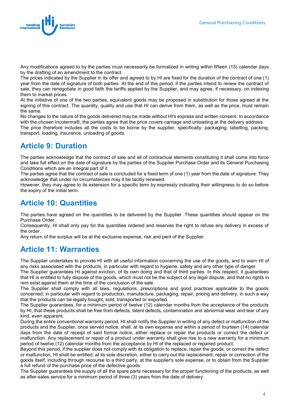

Any modifications agreed to by the parties must necessarily be formalized in writing within fifteen (15) calendar days by the drafting of an amendment to the contract.

The prices indicated by the Supplier in its offer and agreed to by HI are fixed for the duration of the contract of one (1) year from the date of signature of both parties. At the end of this period, if the parties intend to renew the contract of sale, they can renegotiate in good faith the tariffs applied by the Supplier, and may agree, if necessary, on indexing them to market prices.

At the initiative of one of the two parties, equivalent goods may be proposed in substitution for those agreed at the signing of this contract. The quantity, quality and use that HI can derive from them, as well as the price, must remain the same.

No changes to the nature of the goods delivered may be made without HI's express and written consent. In accordance with the chosen Incoterms®, the parties agree that the price covers carriage and unloading at the delivery address.

The price therefore includes all the costs to be borne by the supplier, specifically: packaging, labelling, packing, transport, loading, insurance, unloading of goods.

#### <span id="page-4-0"></span>**Article 9: Duration**

The parties acknowledge that the contract of sale and all of contractual elements constituting it shall come into force and take full effect on the date of signature by the parties of the Supplier Purchase Order and its General Purchasing Conditions which are an integral part of it.

The parties agree that the contract of sale is concluded for a fixed term of one (1) year from the date of signature. They acknowledge that under no circumstances may it be tacitly renewed.

However, they may agree to its extension for a specific term by expressly indicating their willingness to do so before the expiry of the initial term.

#### <span id="page-4-1"></span>**Article 10: Quantities**

The parties have agreed on the quantities to be delivered by the Supplier. These quantities should appear on the Purchase Order.

Consequently, HI shall only pay for the quantities ordered and reserves the right to refuse any delivery in excess of the order.

Any return of the surplus will be at the exclusive expense, risk and peril of the Supplier.

#### <span id="page-4-2"></span>**Article 11: Warranties**

The Supplier undertakes to provide HI with all useful information concerning the use of the goods, and to warn HI of any risks associated with the products, in particular with regard to hygiene, safety and any other type of danger.

The Supplier guarantees HI against eviction, of its own doing and that of third parties. In this respect, it guarantees that HI is entitled to fully dispose of the goods, which must not be the subject of any legal dispute, and that no rights in rem exist against them at the time of the conclusion of the sale.

The Supplier shall comply with all laws, regulations, prescriptions and good practices applicable to the goods concerned, in particular with regard to production, manufacture, packaging, repair, pricing and delivery, in such a way that the products can be legally bought, sold, transported or exported.

The Supplier guarantees, for a minimum period of twelve (12) calendar months from the acceptance of the products by HI, that these products shall be free from defects, latent defects, contamination and abnormal wear and tear of any kind, even apparent.

During the entire conventional warranty period, HI shall notify the Supplier in writing of any defect or malfunction of the products and the Supplier, once served notice, shall, at its own expense and within a period of fourteen (14) calendar days from the date of receipt of said formal notice, either replace or repair the products or correct the defect or malfunction. Any replacement or repair of a product under warranty shall give rise to a new warranty for a minimum period of twelve (12) calendar months from the acceptance by HI of the replaced or repaired product.

Beyond this period, if the supplier does not comply with its obligation to replace, repair the goods, or correct the defect or malfunction, HI shall be entitled, at its sole discretion, either to carry out the replacement, repair or correction of the goods itself, including through recourse to a third party, at the supplier's sole expense, or to obtain from the Supplier a full refund of the purchase price of the defective goods.

The Supplier guarantees the supply of all the spare parts necessary for the proper functioning of the products, as well as after-sales service for a minimum period of three (3) years from the date of delivery.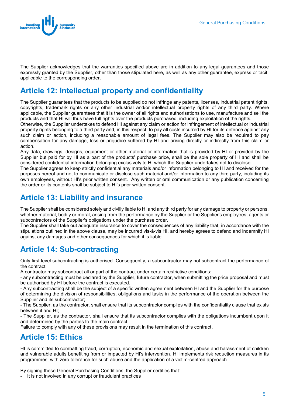

The Supplier acknowledges that the warranties specified above are in addition to any legal guarantees and those expressly granted by the Supplier, other than those stipulated here, as well as any other guarantee, express or tacit, applicable to the corresponding order.

#### <span id="page-5-0"></span>**Article 12: Intellectual property and confidentiality**

The Supplier guarantees that the products to be supplied do not infringe any patents, licenses, industrial patent rights, copyrights, trademark rights or any other industrial and/or intellectual property rights of any third party. Where applicable, the Supplier guarantees that it is the owner of all rights and authorisations to use, manufacture and sell the products and that HI will thus have full rights over the products purchased, including exploitation of the rights.

Otherwise, the Supplier undertakes to defend HI against any claim or action for infringement of intellectual or industrial property rights belonging to a third party and, in this respect, to pay all costs incurred by HI for its defence against any such claim or action, including a reasonable amount of legal fees. The Supplier may also be required to pay compensation for any damage, loss or prejudice suffered by HI and arising directly or indirectly from this claim or action.

Any data, drawings, designs, equipment or other material or information that is provided by HI or provided by the Supplier but paid for by HI as a part of the products' purchase price, shall be the sole property of HI and shall be considered confidential information belonging exclusively to HI which the Supplier undertakes not to disclose.

The Supplier agrees to keep strictly confidential any materials and/or information belonging to HI and received for the purposes hereof and not to communicate or disclose such material and/or information to any third party, including its own employees, without HI's prior written consent. Any written or oral communication or any publication concerning the order or its contents shall be subject to HI's prior written consent.

#### <span id="page-5-1"></span>**Article 13: Liability and insurance**

The Supplier shall be considered solely and civilly liable to HI and any third party for any damage to property or persons, whether material, bodily or moral, arising from the performance by the Supplier or the Supplier's employees, agents or subcontractors of the Supplier's obligations under the purchase order.

The Supplier shall take out adequate insurance to cover the consequences of any liability that, in accordance with the stipulations outlined in the above clause, may be incurred vis-à-vis HI, and hereby agrees to defend and indemnify HI against any damages and other consequences for which it is liable.

#### <span id="page-5-2"></span>**Article 14: Sub-contracting**

Only first level subcontracting is authorised. Consequently, a subcontractor may not subcontract the performance of the contract.

A contractor may subcontract all or part of the contract under certain restrictive conditions:

- any subcontracting must be declared by the Supplier, future contractor, when submitting the price proposal and must be authorised by HI before the contract is executed.

- Any subcontracting shall be the subject of a specific written agreement between HI and the Supplier for the purpose of determining the division of responsibilities, obligations and tasks in the performance of the operation between the Supplier and its subcontractor;

- The Supplier, as the contractor, shall ensure that its subcontractor complies with the confidentiality clause that exists between it and HI;

- The Supplier, as the contractor, shall ensure that its subcontractor complies with the obligations incumbent upon it and determined by the parties to the main contract.

Failure to comply with any of these provisions may result in the termination of this contract.

#### <span id="page-5-3"></span>**Article 15: Ethics**

HI is committed to combatting fraud, corruption, economic and sexual exploitation, abuse and harassment of children and vulnerable adults benefiting from or impacted by HI's intervention. HI implements risk reduction measures in its programmes, with zero tolerance for such abuse and the application of a victim-centred approach.

By signing these General Purchasing Conditions, the Supplier certifies that:

- It is not involved in any corrupt or fraudulent practices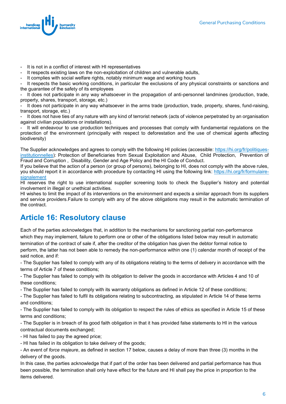

- It is not in a conflict of interest with HI representatives
- It respects existing laws on the non-exploitation of children and vulnerable adults,
- It complies with social welfare rights, notably minimum wage and working hours

It respects the basic working conditions, in particular the exclusions of any physical constraints or sanctions and the guarantee of the safety of its employees

It does not participate in any way whatsoever in the propagation of anti-personnel landmines (production, trade, property, shares, transport, storage, etc.)

It does not participate in any way whatsoever in the arms trade (production, trade, property, shares, fund-raising, transport, storage, etc.)

- It does not have ties of any nature with any kind of terrorist network (acts of violence perpetrated by an organisation against civilian populations or installations).

- It will endeavour to use production techniques and processes that comply with fundamental regulations on the protection of the environment (principally with respect to deforestation and the use of chemical agents affecting biodiversity)

The Supplier acknowledges and agrees to comply with the following HI policies (accessible[: https://hi.org/fr/politiques](https://hi.org/fr/politiques-institutionnelles)[institutionnelles\)](https://hi.org/fr/politiques-institutionnelles): Protection of Beneficiaries from Sexual Exploitation and Abuse, Child Protection, Prevention of Fraud and Corruption , Disability, Gender and Age Policy and the HI Code of Conduct.

If you believe that the action of a person (or group of persons), belonging to HI, does not comply with the above rules, you should report it in accordance with procedure by contacting HI using the following link: [https://hi.org/fr/formulaire](https://hi.org/fr/formulaire-signalement)[signalement](https://hi.org/fr/formulaire-signalement)

HI reserves the right to use international supplier screening tools to check the Supplier's history and potential involvement in illegal or unethical activities.

HI wishes to limit the impact of its interventions on the environment and expects a similar approach from its suppliers and service providers.Failure to comply with any of the above obligations may result in the automatic termination of the contract.

#### <span id="page-6-0"></span>**Article 16: Resolutory clause**

Each of the parties acknowledges that, in addition to the mechanisms for sanctioning partial non-performance which they may implement, failure to perform one or other of the obligations listed below may result in automatic termination of the contract of sale if, after the creditor of the obligation has given the debtor formal notice to perform, the latter has not been able to remedy the non-performance within one (1) calendar month of receipt of the said notice, and if:

- The Supplier has failed to comply with any of its obligations relating to the terms of delivery in accordance with the terms of Article 7 of these conditions;

- The Supplier has failed to comply with its obligation to deliver the goods in accordance with Articles 4 and 10 of these conditions;

- The Supplier has failed to comply with its warranty obligations as defined in Article 12 of these conditions;

- The Supplier has failed to fulfil its obligations relating to subcontracting, as stipulated in Article 14 of these terms and conditions;

- The Supplier has failed to comply with its obligation to respect the rules of ethics as specified in Article 15 of these terms and conditions;

- The Supplier is in breach of its good faith obligation in that it has provided false statements to HI in the various contractual documents exchanged;

- HI has failed to pay the agreed price;

- HI has failed in its obligation to take delivery of the goods;

- An event of *force majeure*, as defined in section 17 below, causes a delay of more than three (3) months in the delivery of the goods.

In this case, the parties acknowledge that if part of the order has been delivered and partial performance has thus been possible, the termination shall only have effect for the future and HI shall pay the price in proportion to the items delivered.